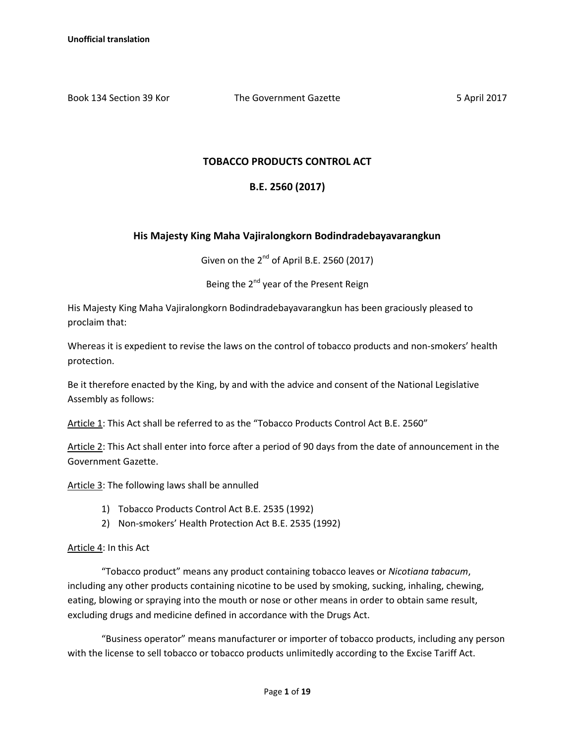Book 134 Section 39 Kor The Government Gazette 5 April 2017

## **TOBACCO PRODUCTS CONTROL ACT**

# **B.E. 2560 (2017)**

## **His Majesty King Maha Vajiralongkorn Bodindradebayavarangkun**

Given on the  $2^{nd}$  of April B.E. 2560 (2017)

Being the 2<sup>nd</sup> year of the Present Reign

His Majesty King Maha Vajiralongkorn Bodindradebayavarangkun has been graciously pleased to proclaim that:

Whereas it is expedient to revise the laws on the control of tobacco products and non-smokers' health protection.

Be it therefore enacted by the King, by and with the advice and consent of the National Legislative Assembly as follows:

Article 1: This Act shall be referred to as the "Tobacco Products Control Act B.E. 2560"

Article 2: This Act shall enter into force after a period of 90 days from the date of announcement in the Government Gazette.

Article 3: The following laws shall be annulled

- 1) Tobacco Products Control Act B.E. 2535 (1992)
- 2) Non-smokers' Health Protection Act B.E. 2535 (1992)

Article 4: In this Act

"Tobacco product" means any product containing tobacco leaves or *Nicotiana tabacum*, including any other products containing nicotine to be used by smoking, sucking, inhaling, chewing, eating, blowing or spraying into the mouth or nose or other means in order to obtain same result, excluding drugs and medicine defined in accordance with the Drugs Act.

"Business operator" means manufacturer or importer of tobacco products, including any person with the license to sell tobacco or tobacco products unlimitedly according to the Excise Tariff Act.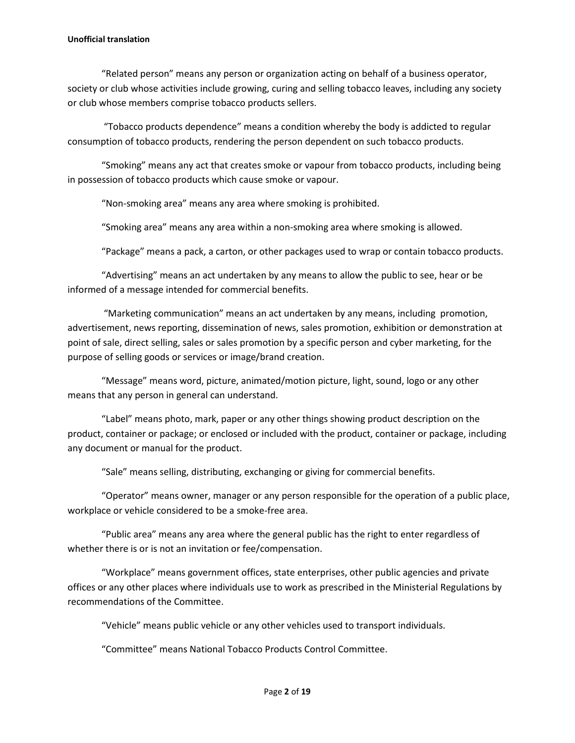#### **Unofficial translation**

"Related person" means any person or organization acting on behalf of a business operator, society or club whose activities include growing, curing and selling tobacco leaves, including any society or club whose members comprise tobacco products sellers.

"Tobacco products dependence" means a condition whereby the body is addicted to regular consumption of tobacco products, rendering the person dependent on such tobacco products.

"Smoking" means any act that creates smoke or vapour from tobacco products, including being in possession of tobacco products which cause smoke or vapour.

"Non-smoking area" means any area where smoking is prohibited.

"Smoking area" means any area within a non-smoking area where smoking is allowed.

"Package" means a pack, a carton, or other packages used to wrap or contain tobacco products.

"Advertising" means an act undertaken by any means to allow the public to see, hear or be informed of a message intended for commercial benefits.

"Marketing communication" means an act undertaken by any means, including promotion, advertisement, news reporting, dissemination of news, sales promotion, exhibition or demonstration at point of sale, direct selling, sales or sales promotion by a specific person and cyber marketing, for the purpose of selling goods or services or image/brand creation.

"Message" means word, picture, animated/motion picture, light, sound, logo or any other means that any person in general can understand.

"Label" means photo, mark, paper or any other things showing product description on the product, container or package; or enclosed or included with the product, container or package, including any document or manual for the product.

"Sale" means selling, distributing, exchanging or giving for commercial benefits.

"Operator" means owner, manager or any person responsible for the operation of a public place, workplace or vehicle considered to be a smoke-free area.

"Public area" means any area where the general public has the right to enter regardless of whether there is or is not an invitation or fee/compensation.

"Workplace" means government offices, state enterprises, other public agencies and private offices or any other places where individuals use to work as prescribed in the Ministerial Regulations by recommendations of the Committee.

"Vehicle" means public vehicle or any other vehicles used to transport individuals.

"Committee" means National Tobacco Products Control Committee.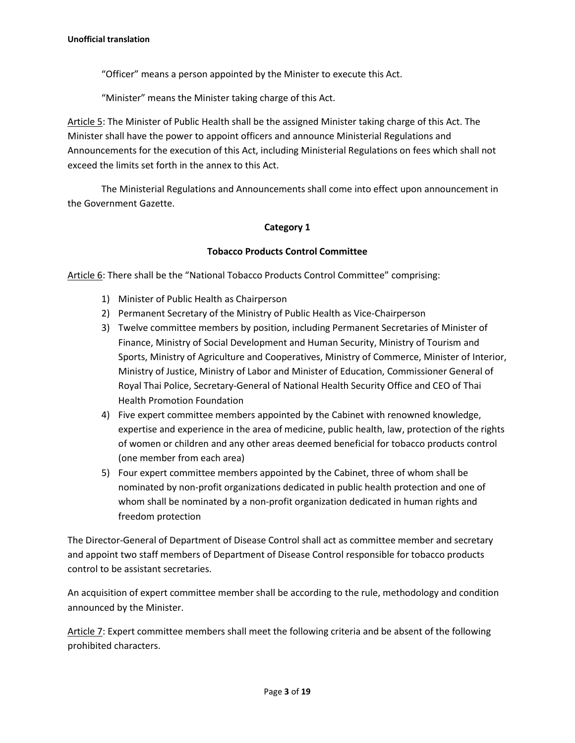"Officer" means a person appointed by the Minister to execute this Act.

"Minister" means the Minister taking charge of this Act.

Article 5: The Minister of Public Health shall be the assigned Minister taking charge of this Act. The Minister shall have the power to appoint officers and announce Ministerial Regulations and Announcements for the execution of this Act, including Ministerial Regulations on fees which shall not exceed the limits set forth in the annex to this Act.

The Ministerial Regulations and Announcements shall come into effect upon announcement in the Government Gazette.

### **Category 1**

### **Tobacco Products Control Committee**

Article 6: There shall be the "National Tobacco Products Control Committee" comprising:

- 1) Minister of Public Health as Chairperson
- 2) Permanent Secretary of the Ministry of Public Health as Vice-Chairperson
- 3) Twelve committee members by position, including Permanent Secretaries of Minister of Finance, Ministry of Social Development and Human Security, Ministry of Tourism and Sports, Ministry of Agriculture and Cooperatives, Ministry of Commerce, Minister of Interior, Ministry of Justice, Ministry of Labor and Minister of Education, Commissioner General of Royal Thai Police, Secretary-General of National Health Security Office and CEO of Thai Health Promotion Foundation
- 4) Five expert committee members appointed by the Cabinet with renowned knowledge, expertise and experience in the area of medicine, public health, law, protection of the rights of women or children and any other areas deemed beneficial for tobacco products control (one member from each area)
- 5) Four expert committee members appointed by the Cabinet, three of whom shall be nominated by non-profit organizations dedicated in public health protection and one of whom shall be nominated by a non-profit organization dedicated in human rights and freedom protection

The Director-General of Department of Disease Control shall act as committee member and secretary and appoint two staff members of Department of Disease Control responsible for tobacco products control to be assistant secretaries.

An acquisition of expert committee member shall be according to the rule, methodology and condition announced by the Minister.

Article 7: Expert committee members shall meet the following criteria and be absent of the following prohibited characters.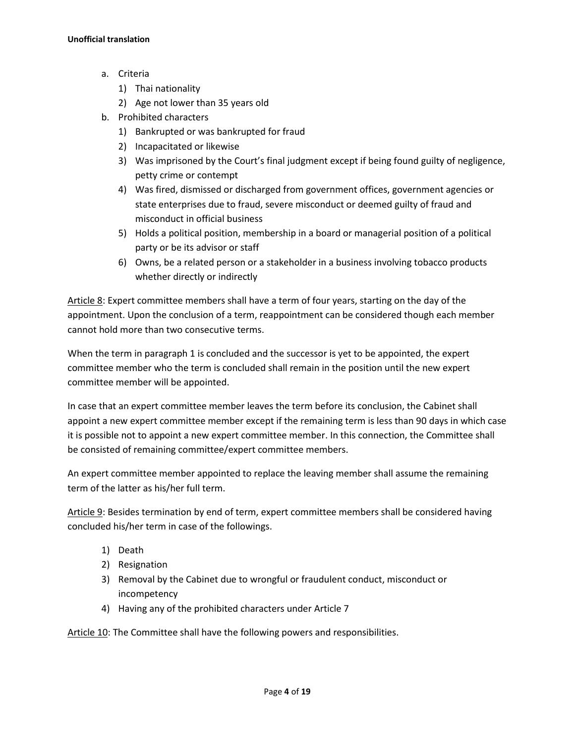- a. Criteria
	- 1) Thai nationality
	- 2) Age not lower than 35 years old
- b. Prohibited characters
	- 1) Bankrupted or was bankrupted for fraud
	- 2) Incapacitated or likewise
	- 3) Was imprisoned by the Court's final judgment except if being found guilty of negligence, petty crime or contempt
	- 4) Was fired, dismissed or discharged from government offices, government agencies or state enterprises due to fraud, severe misconduct or deemed guilty of fraud and misconduct in official business
	- 5) Holds a political position, membership in a board or managerial position of a political party or be its advisor or staff
	- 6) Owns, be a related person or a stakeholder in a business involving tobacco products whether directly or indirectly

Article 8: Expert committee members shall have a term of four years, starting on the day of the appointment. Upon the conclusion of a term, reappointment can be considered though each member cannot hold more than two consecutive terms.

When the term in paragraph 1 is concluded and the successor is yet to be appointed, the expert committee member who the term is concluded shall remain in the position until the new expert committee member will be appointed.

In case that an expert committee member leaves the term before its conclusion, the Cabinet shall appoint a new expert committee member except if the remaining term is less than 90 days in which case it is possible not to appoint a new expert committee member. In this connection, the Committee shall be consisted of remaining committee/expert committee members.

An expert committee member appointed to replace the leaving member shall assume the remaining term of the latter as his/her full term.

Article 9: Besides termination by end of term, expert committee members shall be considered having concluded his/her term in case of the followings.

- 1) Death
- 2) Resignation
- 3) Removal by the Cabinet due to wrongful or fraudulent conduct, misconduct or incompetency
- 4) Having any of the prohibited characters under Article 7

Article 10: The Committee shall have the following powers and responsibilities.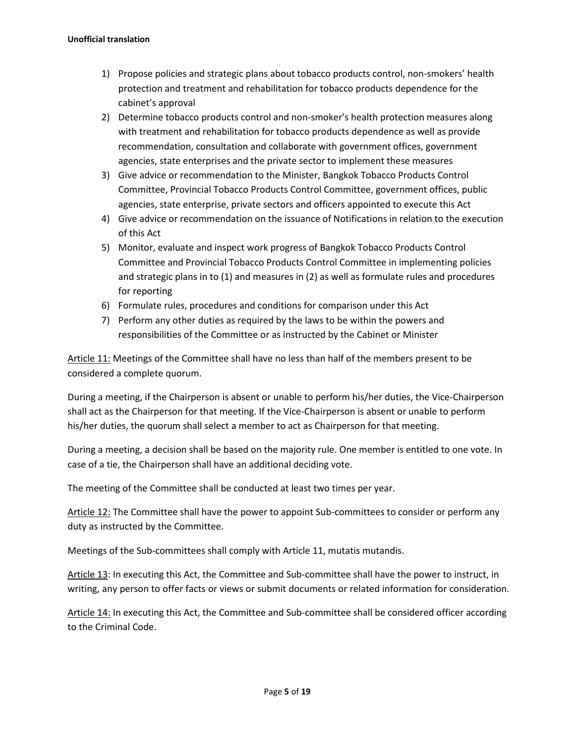- 1) Propose policies and strategic plans about tobacco products control, non-smokers' health protection and treatment and rehabilitation for tobacco products dependence for the cabinet's approval
- 2) Determine tobacco products control and non-smoker's health protection measures along with treatment and rehabilitation for tobacco products dependence as well as provide recommendation, consultation and collaborate with government offices, government agencies, state enterprises and the private sector to implement these measures
- 3) Give advice or recommendation to the Minister, Bangkok Tobacco Products Control Committee, Provincial Tobacco Products Control Committee, government offices, public agencies, state enterprise, private sectors and officers appointed to execute this Act
- 4) Give advice or recommendation on the issuance of Notifications in relation to the execution of this Act
- 5) Monitor, evaluate and inspect work progress of Bangkok Tobacco Products Control Committee and Provincial Tobacco Products Control Committee in implementing policies and strategic plans in to (1) and measures in (2) as well as formulate rules and procedures for reporting
- 6) Formulate rules, procedures and conditions for comparison under this Act
- 7) Perform any other duties as required by the laws to be within the powers and responsibilities of the Committee or as instructed by the Cabinet or Minister

Article 11: Meetings of the Committee shall have no less than half of the members present to be considered a complete quorum.

During a meeting, if the Chairperson is absent or unable to perform his/her duties, the Vice-Chairperson shall act as the Chairperson for that meeting. If the Vice-Chairperson is absent or unable to perform his/her duties, the quorum shall select a member to act as Chairperson for that meeting.

During a meeting, a decision shall be based on the majority rule. One member is entitled to one vote. In case of a tie, the Chairperson shall have an additional deciding vote.

The meeting of the Committee shall be conducted at least two times per year.

Article 12: The Committee shall have the power to appoint Sub-committees to consider or perform any duty as instructed by the Committee.

Meetings of the Sub-committees shall comply with Article 11, mutatis mutandis.

Article 13: In executing this Act, the Committee and Sub-committee shall have the power to instruct, in writing, any person to offer facts or views or submit documents or related information for consideration.

Article 14: In executing this Act, the Committee and Sub-committee shall be considered officer according to the Criminal Code.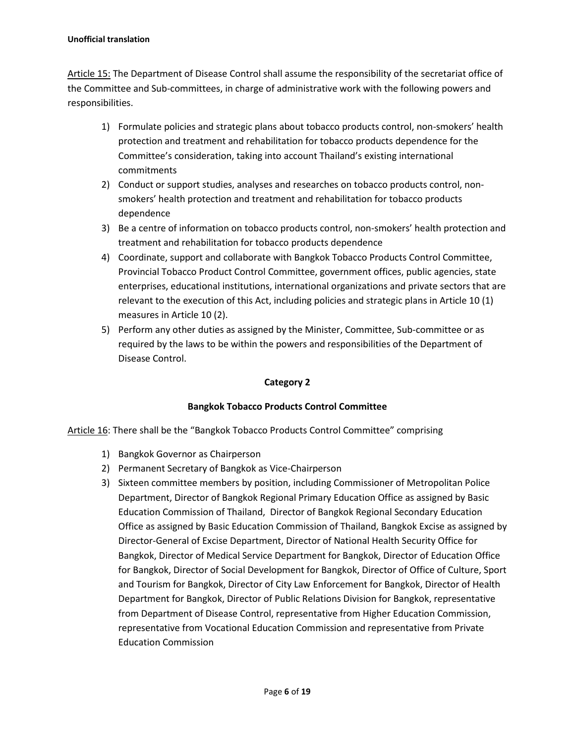#### **Unofficial translation**

Article 15: The Department of Disease Control shall assume the responsibility of the secretariat office of the Committee and Sub-committees, in charge of administrative work with the following powers and responsibilities.

- 1) Formulate policies and strategic plans about tobacco products control, non-smokers' health protection and treatment and rehabilitation for tobacco products dependence for the Committee's consideration, taking into account Thailand's existing international commitments
- 2) Conduct or support studies, analyses and researches on tobacco products control, nonsmokers' health protection and treatment and rehabilitation for tobacco products dependence
- 3) Be a centre of information on tobacco products control, non-smokers' health protection and treatment and rehabilitation for tobacco products dependence
- 4) Coordinate, support and collaborate with Bangkok Tobacco Products Control Committee, Provincial Tobacco Product Control Committee, government offices, public agencies, state enterprises, educational institutions, international organizations and private sectors that are relevant to the execution of this Act, including policies and strategic plans in Article 10 (1) measures in Article 10 (2).
- 5) Perform any other duties as assigned by the Minister, Committee, Sub-committee or as required by the laws to be within the powers and responsibilities of the Department of Disease Control.

## **Category 2**

## **Bangkok Tobacco Products Control Committee**

Article 16: There shall be the "Bangkok Tobacco Products Control Committee" comprising

- 1) Bangkok Governor as Chairperson
- 2) Permanent Secretary of Bangkok as Vice-Chairperson
- 3) Sixteen committee members by position, including Commissioner of Metropolitan Police Department, Director of Bangkok Regional Primary Education Office as assigned by Basic Education Commission of Thailand, Director of Bangkok Regional Secondary Education Office as assigned by Basic Education Commission of Thailand, Bangkok Excise as assigned by Director-General of Excise Department, Director of National Health Security Office for Bangkok, Director of Medical Service Department for Bangkok, Director of Education Office for Bangkok, Director of Social Development for Bangkok, Director of Office of Culture, Sport and Tourism for Bangkok, Director of City Law Enforcement for Bangkok, Director of Health Department for Bangkok, Director of Public Relations Division for Bangkok, representative from Department of Disease Control, representative from Higher Education Commission, representative from Vocational Education Commission and representative from Private Education Commission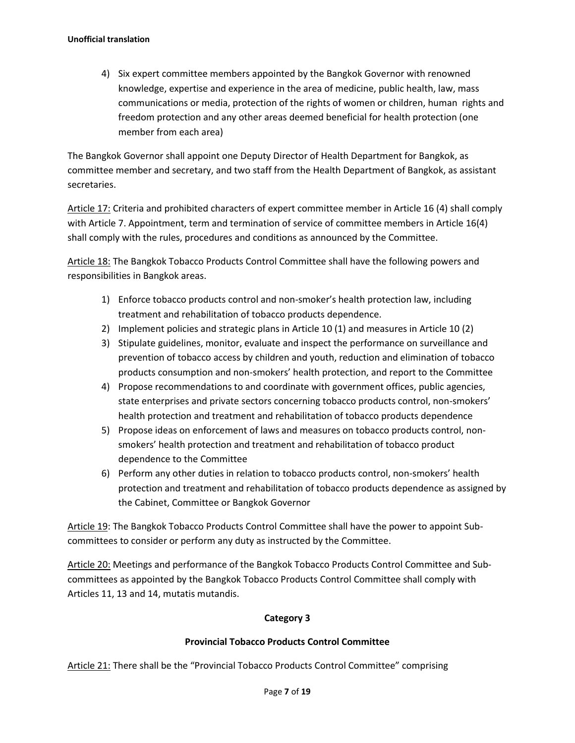4) Six expert committee members appointed by the Bangkok Governor with renowned knowledge, expertise and experience in the area of medicine, public health, law, mass communications or media, protection of the rights of women or children, human rights and freedom protection and any other areas deemed beneficial for health protection (one member from each area)

The Bangkok Governor shall appoint one Deputy Director of Health Department for Bangkok, as committee member and secretary, and two staff from the Health Department of Bangkok, as assistant secretaries.

Article 17: Criteria and prohibited characters of expert committee member in Article 16 (4) shall comply with Article 7. Appointment, term and termination of service of committee members in Article 16(4) shall comply with the rules, procedures and conditions as announced by the Committee.

Article 18: The Bangkok Tobacco Products Control Committee shall have the following powers and responsibilities in Bangkok areas.

- 1) Enforce tobacco products control and non-smoker's health protection law, including treatment and rehabilitation of tobacco products dependence.
- 2) Implement policies and strategic plans in Article 10 (1) and measures in Article 10 (2)
- 3) Stipulate guidelines, monitor, evaluate and inspect the performance on surveillance and prevention of tobacco access by children and youth, reduction and elimination of tobacco products consumption and non-smokers' health protection, and report to the Committee
- 4) Propose recommendations to and coordinate with government offices, public agencies, state enterprises and private sectors concerning tobacco products control, non-smokers' health protection and treatment and rehabilitation of tobacco products dependence
- 5) Propose ideas on enforcement of laws and measures on tobacco products control, nonsmokers' health protection and treatment and rehabilitation of tobacco product dependence to the Committee
- 6) Perform any other duties in relation to tobacco products control, non-smokers' health protection and treatment and rehabilitation of tobacco products dependence as assigned by the Cabinet, Committee or Bangkok Governor

Article 19: The Bangkok Tobacco Products Control Committee shall have the power to appoint Subcommittees to consider or perform any duty as instructed by the Committee.

Article 20: Meetings and performance of the Bangkok Tobacco Products Control Committee and Subcommittees as appointed by the Bangkok Tobacco Products Control Committee shall comply with Articles 11, 13 and 14, mutatis mutandis.

## **Category 3**

## **Provincial Tobacco Products Control Committee**

Article 21: There shall be the "Provincial Tobacco Products Control Committee" comprising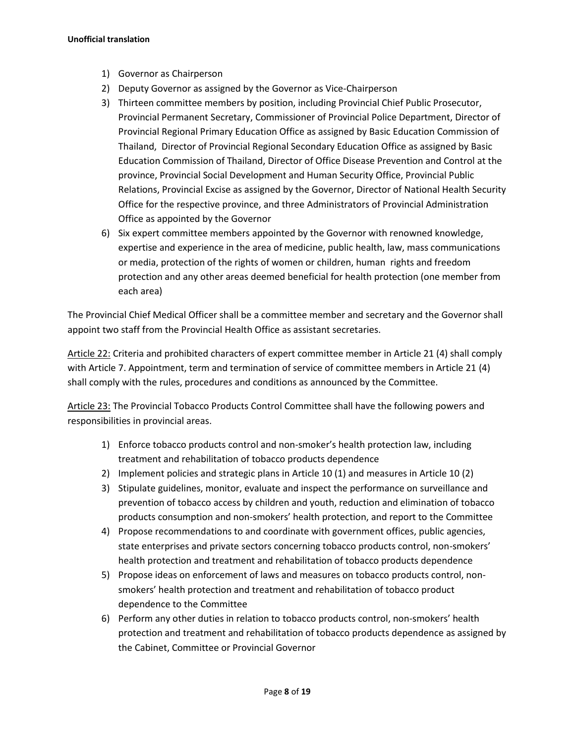- 1) Governor as Chairperson
- 2) Deputy Governor as assigned by the Governor as Vice-Chairperson
- 3) Thirteen committee members by position, including Provincial Chief Public Prosecutor, Provincial Permanent Secretary, Commissioner of Provincial Police Department, Director of Provincial Regional Primary Education Office as assigned by Basic Education Commission of Thailand, Director of Provincial Regional Secondary Education Office as assigned by Basic Education Commission of Thailand, Director of Office Disease Prevention and Control at the province, Provincial Social Development and Human Security Office, Provincial Public Relations, Provincial Excise as assigned by the Governor, Director of National Health Security Office for the respective province, and three Administrators of Provincial Administration Office as appointed by the Governor
- 6) Six expert committee members appointed by the Governor with renowned knowledge, expertise and experience in the area of medicine, public health, law, mass communications or media, protection of the rights of women or children, human rights and freedom protection and any other areas deemed beneficial for health protection (one member from each area)

The Provincial Chief Medical Officer shall be a committee member and secretary and the Governor shall appoint two staff from the Provincial Health Office as assistant secretaries.

Article 22: Criteria and prohibited characters of expert committee member in Article 21 (4) shall comply with Article 7. Appointment, term and termination of service of committee members in Article 21 (4) shall comply with the rules, procedures and conditions as announced by the Committee.

Article 23: The Provincial Tobacco Products Control Committee shall have the following powers and responsibilities in provincial areas.

- 1) Enforce tobacco products control and non-smoker's health protection law, including treatment and rehabilitation of tobacco products dependence
- 2) Implement policies and strategic plans in Article 10 (1) and measures in Article 10 (2)
- 3) Stipulate guidelines, monitor, evaluate and inspect the performance on surveillance and prevention of tobacco access by children and youth, reduction and elimination of tobacco products consumption and non-smokers' health protection, and report to the Committee
- 4) Propose recommendations to and coordinate with government offices, public agencies, state enterprises and private sectors concerning tobacco products control, non-smokers' health protection and treatment and rehabilitation of tobacco products dependence
- 5) Propose ideas on enforcement of laws and measures on tobacco products control, nonsmokers' health protection and treatment and rehabilitation of tobacco product dependence to the Committee
- 6) Perform any other duties in relation to tobacco products control, non-smokers' health protection and treatment and rehabilitation of tobacco products dependence as assigned by the Cabinet, Committee or Provincial Governor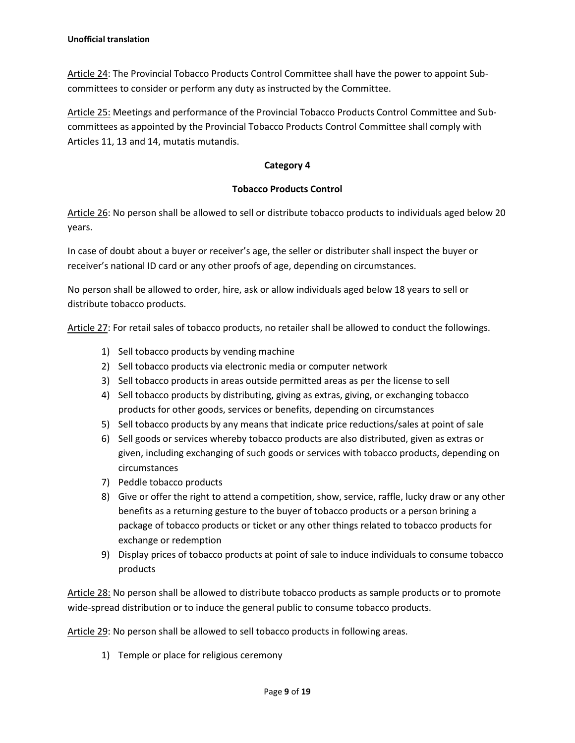Article 24: The Provincial Tobacco Products Control Committee shall have the power to appoint Subcommittees to consider or perform any duty as instructed by the Committee.

Article 25: Meetings and performance of the Provincial Tobacco Products Control Committee and Subcommittees as appointed by the Provincial Tobacco Products Control Committee shall comply with Articles 11, 13 and 14, mutatis mutandis.

## **Category 4**

### **Tobacco Products Control**

Article 26: No person shall be allowed to sell or distribute tobacco products to individuals aged below 20 years.

In case of doubt about a buyer or receiver's age, the seller or distributer shall inspect the buyer or receiver's national ID card or any other proofs of age, depending on circumstances.

No person shall be allowed to order, hire, ask or allow individuals aged below 18 years to sell or distribute tobacco products.

Article 27: For retail sales of tobacco products, no retailer shall be allowed to conduct the followings.

- 1) Sell tobacco products by vending machine
- 2) Sell tobacco products via electronic media or computer network
- 3) Sell tobacco products in areas outside permitted areas as per the license to sell
- 4) Sell tobacco products by distributing, giving as extras, giving, or exchanging tobacco products for other goods, services or benefits, depending on circumstances
- 5) Sell tobacco products by any means that indicate price reductions/sales at point of sale
- 6) Sell goods or services whereby tobacco products are also distributed, given as extras or given, including exchanging of such goods or services with tobacco products, depending on circumstances
- 7) Peddle tobacco products
- 8) Give or offer the right to attend a competition, show, service, raffle, lucky draw or any other benefits as a returning gesture to the buyer of tobacco products or a person brining a package of tobacco products or ticket or any other things related to tobacco products for exchange or redemption
- 9) Display prices of tobacco products at point of sale to induce individuals to consume tobacco products

Article 28: No person shall be allowed to distribute tobacco products as sample products or to promote wide-spread distribution or to induce the general public to consume tobacco products.

Article 29: No person shall be allowed to sell tobacco products in following areas.

1) Temple or place for religious ceremony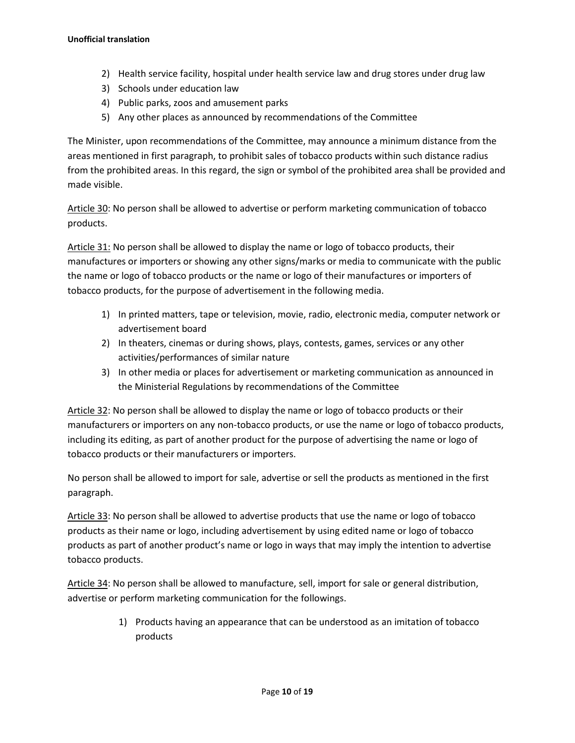- 2) Health service facility, hospital under health service law and drug stores under drug law
- 3) Schools under education law
- 4) Public parks, zoos and amusement parks
- 5) Any other places as announced by recommendations of the Committee

The Minister, upon recommendations of the Committee, may announce a minimum distance from the areas mentioned in first paragraph, to prohibit sales of tobacco products within such distance radius from the prohibited areas. In this regard, the sign or symbol of the prohibited area shall be provided and made visible.

Article 30: No person shall be allowed to advertise or perform marketing communication of tobacco products.

Article 31: No person shall be allowed to display the name or logo of tobacco products, their manufactures or importers or showing any other signs/marks or media to communicate with the public the name or logo of tobacco products or the name or logo of their manufactures or importers of tobacco products, for the purpose of advertisement in the following media.

- 1) In printed matters, tape or television, movie, radio, electronic media, computer network or advertisement board
- 2) In theaters, cinemas or during shows, plays, contests, games, services or any other activities/performances of similar nature
- 3) In other media or places for advertisement or marketing communication as announced in the Ministerial Regulations by recommendations of the Committee

Article 32: No person shall be allowed to display the name or logo of tobacco products or their manufacturers or importers on any non-tobacco products, or use the name or logo of tobacco products, including its editing, as part of another product for the purpose of advertising the name or logo of tobacco products or their manufacturers or importers.

No person shall be allowed to import for sale, advertise or sell the products as mentioned in the first paragraph.

Article 33: No person shall be allowed to advertise products that use the name or logo of tobacco products as their name or logo, including advertisement by using edited name or logo of tobacco products as part of another product's name or logo in ways that may imply the intention to advertise tobacco products.

Article 34: No person shall be allowed to manufacture, sell, import for sale or general distribution, advertise or perform marketing communication for the followings.

> 1) Products having an appearance that can be understood as an imitation of tobacco products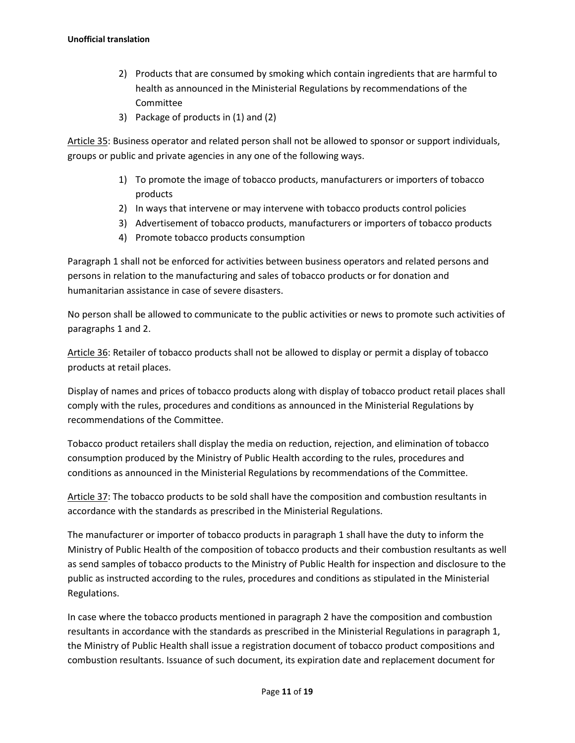- 2) Products that are consumed by smoking which contain ingredients that are harmful to health as announced in the Ministerial Regulations by recommendations of the Committee
- 3) Package of products in (1) and (2)

Article 35: Business operator and related person shall not be allowed to sponsor or support individuals, groups or public and private agencies in any one of the following ways.

- 1) To promote the image of tobacco products, manufacturers or importers of tobacco products
- 2) In ways that intervene or may intervene with tobacco products control policies
- 3) Advertisement of tobacco products, manufacturers or importers of tobacco products
- 4) Promote tobacco products consumption

Paragraph 1 shall not be enforced for activities between business operators and related persons and persons in relation to the manufacturing and sales of tobacco products or for donation and humanitarian assistance in case of severe disasters.

No person shall be allowed to communicate to the public activities or news to promote such activities of paragraphs 1 and 2.

Article 36: Retailer of tobacco products shall not be allowed to display or permit a display of tobacco products at retail places.

Display of names and prices of tobacco products along with display of tobacco product retail places shall comply with the rules, procedures and conditions as announced in the Ministerial Regulations by recommendations of the Committee.

Tobacco product retailers shall display the media on reduction, rejection, and elimination of tobacco consumption produced by the Ministry of Public Health according to the rules, procedures and conditions as announced in the Ministerial Regulations by recommendations of the Committee.

Article 37: The tobacco products to be sold shall have the composition and combustion resultants in accordance with the standards as prescribed in the Ministerial Regulations.

The manufacturer or importer of tobacco products in paragraph 1 shall have the duty to inform the Ministry of Public Health of the composition of tobacco products and their combustion resultants as well as send samples of tobacco products to the Ministry of Public Health for inspection and disclosure to the public as instructed according to the rules, procedures and conditions as stipulated in the Ministerial Regulations.

In case where the tobacco products mentioned in paragraph 2 have the composition and combustion resultants in accordance with the standards as prescribed in the Ministerial Regulations in paragraph 1, the Ministry of Public Health shall issue a registration document of tobacco product compositions and combustion resultants. Issuance of such document, its expiration date and replacement document for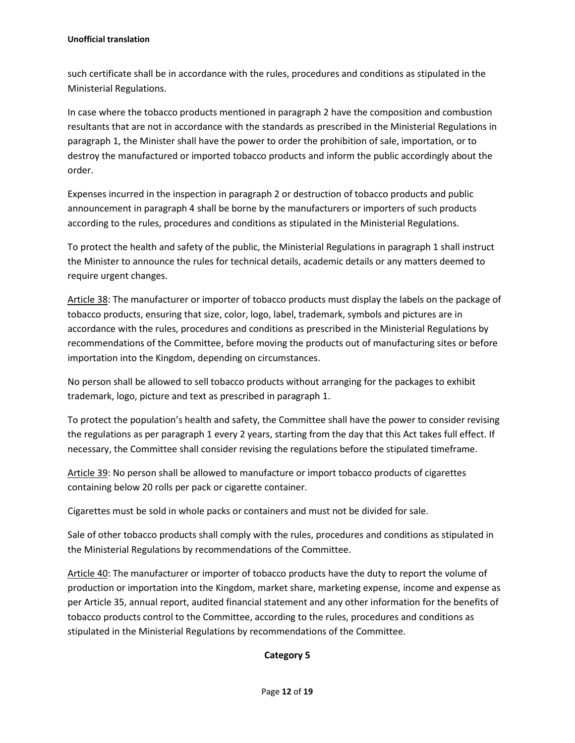such certificate shall be in accordance with the rules, procedures and conditions as stipulated in the Ministerial Regulations.

In case where the tobacco products mentioned in paragraph 2 have the composition and combustion resultants that are not in accordance with the standards as prescribed in the Ministerial Regulations in paragraph 1, the Minister shall have the power to order the prohibition of sale, importation, or to destroy the manufactured or imported tobacco products and inform the public accordingly about the order.

Expenses incurred in the inspection in paragraph 2 or destruction of tobacco products and public announcement in paragraph 4 shall be borne by the manufacturers or importers of such products according to the rules, procedures and conditions as stipulated in the Ministerial Regulations.

To protect the health and safety of the public, the Ministerial Regulations in paragraph 1 shall instruct the Minister to announce the rules for technical details, academic details or any matters deemed to require urgent changes.

Article 38: The manufacturer or importer of tobacco products must display the labels on the package of tobacco products, ensuring that size, color, logo, label, trademark, symbols and pictures are in accordance with the rules, procedures and conditions as prescribed in the Ministerial Regulations by recommendations of the Committee, before moving the products out of manufacturing sites or before importation into the Kingdom, depending on circumstances.

No person shall be allowed to sell tobacco products without arranging for the packages to exhibit trademark, logo, picture and text as prescribed in paragraph 1.

To protect the population's health and safety, the Committee shall have the power to consider revising the regulations as per paragraph 1 every 2 years, starting from the day that this Act takes full effect. If necessary, the Committee shall consider revising the regulations before the stipulated timeframe.

Article 39: No person shall be allowed to manufacture or import tobacco products of cigarettes containing below 20 rolls per pack or cigarette container.

Cigarettes must be sold in whole packs or containers and must not be divided for sale.

Sale of other tobacco products shall comply with the rules, procedures and conditions as stipulated in the Ministerial Regulations by recommendations of the Committee.

Article 40: The manufacturer or importer of tobacco products have the duty to report the volume of production or importation into the Kingdom, market share, marketing expense, income and expense as per Article 35, annual report, audited financial statement and any other information for the benefits of tobacco products control to the Committee, according to the rules, procedures and conditions as stipulated in the Ministerial Regulations by recommendations of the Committee.

## **Category 5**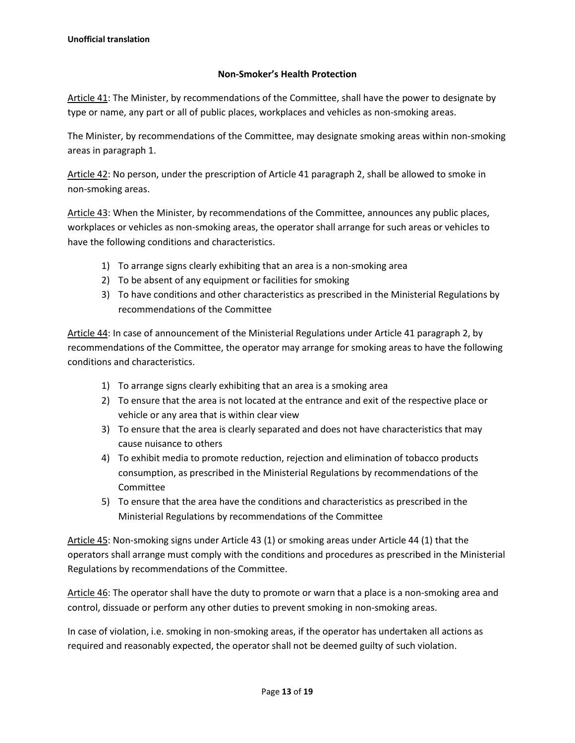## **Non-Smoker's Health Protection**

Article 41: The Minister, by recommendations of the Committee, shall have the power to designate by type or name, any part or all of public places, workplaces and vehicles as non-smoking areas.

The Minister, by recommendations of the Committee, may designate smoking areas within non-smoking areas in paragraph 1.

Article 42: No person, under the prescription of Article 41 paragraph 2, shall be allowed to smoke in non-smoking areas.

Article 43: When the Minister, by recommendations of the Committee, announces any public places, workplaces or vehicles as non-smoking areas, the operator shall arrange for such areas or vehicles to have the following conditions and characteristics.

- 1) To arrange signs clearly exhibiting that an area is a non-smoking area
- 2) To be absent of any equipment or facilities for smoking
- 3) To have conditions and other characteristics as prescribed in the Ministerial Regulations by recommendations of the Committee

Article 44: In case of announcement of the Ministerial Regulations under Article 41 paragraph 2, by recommendations of the Committee, the operator may arrange for smoking areas to have the following conditions and characteristics.

- 1) To arrange signs clearly exhibiting that an area is a smoking area
- 2) To ensure that the area is not located at the entrance and exit of the respective place or vehicle or any area that is within clear view
- 3) To ensure that the area is clearly separated and does not have characteristics that may cause nuisance to others
- 4) To exhibit media to promote reduction, rejection and elimination of tobacco products consumption, as prescribed in the Ministerial Regulations by recommendations of the Committee
- 5) To ensure that the area have the conditions and characteristics as prescribed in the Ministerial Regulations by recommendations of the Committee

Article 45: Non-smoking signs under Article 43 (1) or smoking areas under Article 44 (1) that the operators shall arrange must comply with the conditions and procedures as prescribed in the Ministerial Regulations by recommendations of the Committee.

Article 46: The operator shall have the duty to promote or warn that a place is a non-smoking area and control, dissuade or perform any other duties to prevent smoking in non-smoking areas.

In case of violation, i.e. smoking in non-smoking areas, if the operator has undertaken all actions as required and reasonably expected, the operator shall not be deemed guilty of such violation.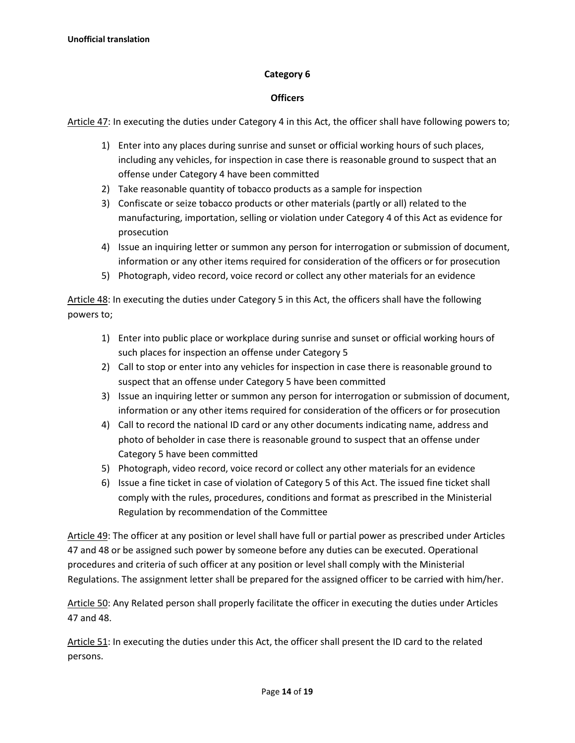### **Category 6**

#### **Officers**

Article 47: In executing the duties under Category 4 in this Act, the officer shall have following powers to;

- 1) Enter into any places during sunrise and sunset or official working hours of such places, including any vehicles, for inspection in case there is reasonable ground to suspect that an offense under Category 4 have been committed
- 2) Take reasonable quantity of tobacco products as a sample for inspection
- 3) Confiscate or seize tobacco products or other materials (partly or all) related to the manufacturing, importation, selling or violation under Category 4 of this Act as evidence for prosecution
- 4) Issue an inquiring letter or summon any person for interrogation or submission of document, information or any other items required for consideration of the officers or for prosecution
- 5) Photograph, video record, voice record or collect any other materials for an evidence

Article 48: In executing the duties under Category 5 in this Act, the officers shall have the following powers to;

- 1) Enter into public place or workplace during sunrise and sunset or official working hours of such places for inspection an offense under Category 5
- 2) Call to stop or enter into any vehicles for inspection in case there is reasonable ground to suspect that an offense under Category 5 have been committed
- 3) Issue an inquiring letter or summon any person for interrogation or submission of document, information or any other items required for consideration of the officers or for prosecution
- 4) Call to record the national ID card or any other documents indicating name, address and photo of beholder in case there is reasonable ground to suspect that an offense under Category 5 have been committed
- 5) Photograph, video record, voice record or collect any other materials for an evidence
- 6) Issue a fine ticket in case of violation of Category 5 of this Act. The issued fine ticket shall comply with the rules, procedures, conditions and format as prescribed in the Ministerial Regulation by recommendation of the Committee

Article 49: The officer at any position or level shall have full or partial power as prescribed under Articles 47 and 48 or be assigned such power by someone before any duties can be executed. Operational procedures and criteria of such officer at any position or level shall comply with the Ministerial Regulations. The assignment letter shall be prepared for the assigned officer to be carried with him/her.

Article 50: Any Related person shall properly facilitate the officer in executing the duties under Articles 47 and 48.

Article 51: In executing the duties under this Act, the officer shall present the ID card to the related persons.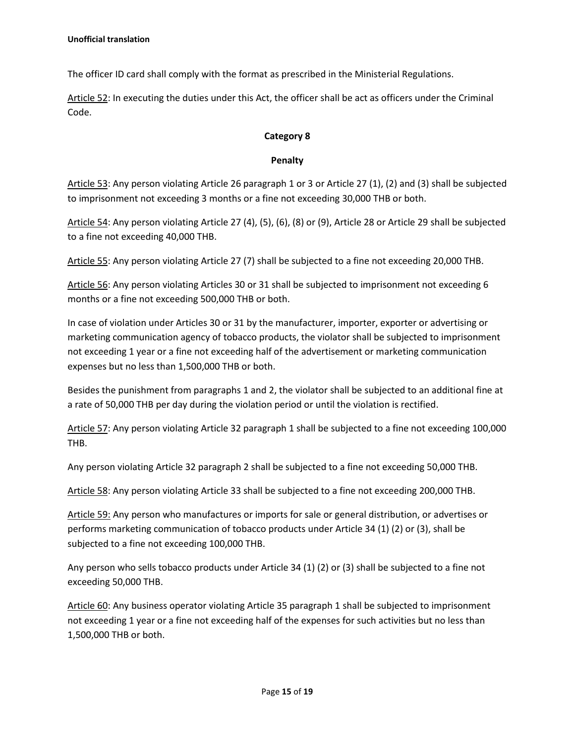The officer ID card shall comply with the format as prescribed in the Ministerial Regulations.

Article 52: In executing the duties under this Act, the officer shall be act as officers under the Criminal Code.

#### **Category 8**

#### **Penalty**

Article 53: Any person violating Article 26 paragraph 1 or 3 or Article 27 (1), (2) and (3) shall be subjected to imprisonment not exceeding 3 months or a fine not exceeding 30,000 THB or both.

Article 54: Any person violating Article 27 (4), (5), (6), (8) or (9), Article 28 or Article 29 shall be subjected to a fine not exceeding 40,000 THB.

Article 55: Any person violating Article 27 (7) shall be subjected to a fine not exceeding 20,000 THB.

Article 56: Any person violating Articles 30 or 31 shall be subjected to imprisonment not exceeding 6 months or a fine not exceeding 500,000 THB or both.

In case of violation under Articles 30 or 31 by the manufacturer, importer, exporter or advertising or marketing communication agency of tobacco products, the violator shall be subjected to imprisonment not exceeding 1 year or a fine not exceeding half of the advertisement or marketing communication expenses but no less than 1,500,000 THB or both.

Besides the punishment from paragraphs 1 and 2, the violator shall be subjected to an additional fine at a rate of 50,000 THB per day during the violation period or until the violation is rectified.

Article 57: Any person violating Article 32 paragraph 1 shall be subjected to a fine not exceeding 100,000 THB.

Any person violating Article 32 paragraph 2 shall be subjected to a fine not exceeding 50,000 THB.

Article 58: Any person violating Article 33 shall be subjected to a fine not exceeding 200,000 THB.

Article 59: Any person who manufactures or imports for sale or general distribution, or advertises or performs marketing communication of tobacco products under Article 34 (1) (2) or (3), shall be subjected to a fine not exceeding 100,000 THB.

Any person who sells tobacco products under Article 34 (1) (2) or (3) shall be subjected to a fine not exceeding 50,000 THB.

Article 60: Any business operator violating Article 35 paragraph 1 shall be subjected to imprisonment not exceeding 1 year or a fine not exceeding half of the expenses for such activities but no less than 1,500,000 THB or both.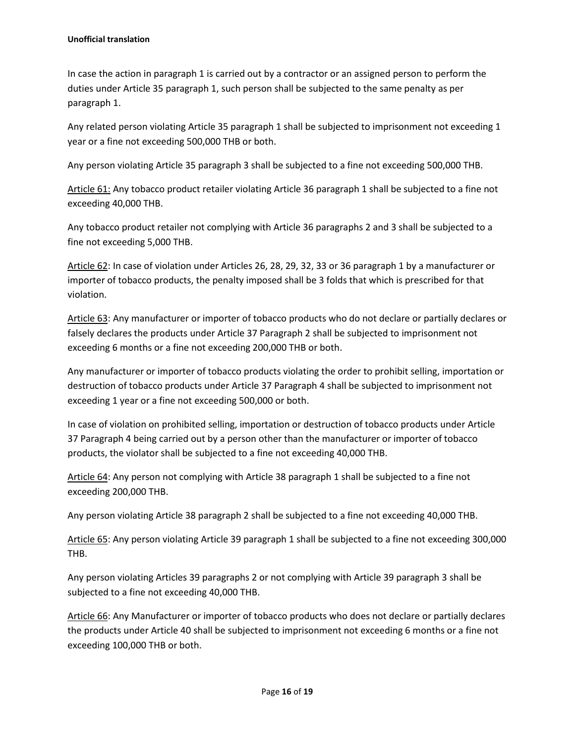In case the action in paragraph 1 is carried out by a contractor or an assigned person to perform the duties under Article 35 paragraph 1, such person shall be subjected to the same penalty as per paragraph 1.

Any related person violating Article 35 paragraph 1 shall be subjected to imprisonment not exceeding 1 year or a fine not exceeding 500,000 THB or both.

Any person violating Article 35 paragraph 3 shall be subjected to a fine not exceeding 500,000 THB.

Article 61: Any tobacco product retailer violating Article 36 paragraph 1 shall be subjected to a fine not exceeding 40,000 THB.

Any tobacco product retailer not complying with Article 36 paragraphs 2 and 3 shall be subjected to a fine not exceeding 5,000 THB.

Article 62: In case of violation under Articles 26, 28, 29, 32, 33 or 36 paragraph 1 by a manufacturer or importer of tobacco products, the penalty imposed shall be 3 folds that which is prescribed for that violation.

Article 63: Any manufacturer or importer of tobacco products who do not declare or partially declares or falsely declares the products under Article 37 Paragraph 2 shall be subjected to imprisonment not exceeding 6 months or a fine not exceeding 200,000 THB or both.

Any manufacturer or importer of tobacco products violating the order to prohibit selling, importation or destruction of tobacco products under Article 37 Paragraph 4 shall be subjected to imprisonment not exceeding 1 year or a fine not exceeding 500,000 or both.

In case of violation on prohibited selling, importation or destruction of tobacco products under Article 37 Paragraph 4 being carried out by a person other than the manufacturer or importer of tobacco products, the violator shall be subjected to a fine not exceeding 40,000 THB.

Article 64: Any person not complying with Article 38 paragraph 1 shall be subjected to a fine not exceeding 200,000 THB.

Any person violating Article 38 paragraph 2 shall be subjected to a fine not exceeding 40,000 THB.

Article 65: Any person violating Article 39 paragraph 1 shall be subjected to a fine not exceeding 300,000 THB.

Any person violating Articles 39 paragraphs 2 or not complying with Article 39 paragraph 3 shall be subjected to a fine not exceeding 40,000 THB.

Article 66: Any Manufacturer or importer of tobacco products who does not declare or partially declares the products under Article 40 shall be subjected to imprisonment not exceeding 6 months or a fine not exceeding 100,000 THB or both.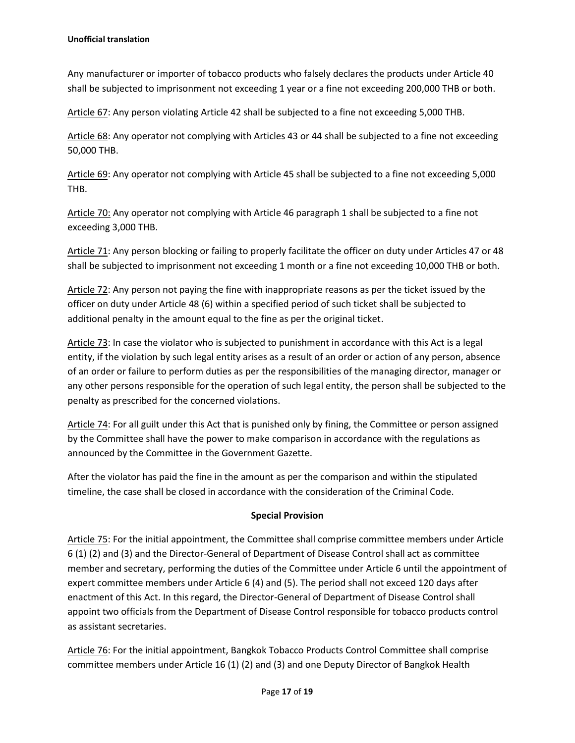Any manufacturer or importer of tobacco products who falsely declares the products under Article 40 shall be subjected to imprisonment not exceeding 1 year or a fine not exceeding 200,000 THB or both.

Article 67: Any person violating Article 42 shall be subjected to a fine not exceeding 5,000 THB.

Article 68: Any operator not complying with Articles 43 or 44 shall be subjected to a fine not exceeding 50,000 THB.

Article 69: Any operator not complying with Article 45 shall be subjected to a fine not exceeding 5,000 THB.

Article 70: Any operator not complying with Article 46 paragraph 1 shall be subjected to a fine not exceeding 3,000 THB.

Article 71: Any person blocking or failing to properly facilitate the officer on duty under Articles 47 or 48 shall be subjected to imprisonment not exceeding 1 month or a fine not exceeding 10,000 THB or both.

Article 72: Any person not paying the fine with inappropriate reasons as per the ticket issued by the officer on duty under Article 48 (6) within a specified period of such ticket shall be subjected to additional penalty in the amount equal to the fine as per the original ticket.

Article 73: In case the violator who is subjected to punishment in accordance with this Act is a legal entity, if the violation by such legal entity arises as a result of an order or action of any person, absence of an order or failure to perform duties as per the responsibilities of the managing director, manager or any other persons responsible for the operation of such legal entity, the person shall be subjected to the penalty as prescribed for the concerned violations.

Article 74: For all guilt under this Act that is punished only by fining, the Committee or person assigned by the Committee shall have the power to make comparison in accordance with the regulations as announced by the Committee in the Government Gazette.

After the violator has paid the fine in the amount as per the comparison and within the stipulated timeline, the case shall be closed in accordance with the consideration of the Criminal Code.

#### **Special Provision**

Article 75: For the initial appointment, the Committee shall comprise committee members under Article 6 (1) (2) and (3) and the Director-General of Department of Disease Control shall act as committee member and secretary, performing the duties of the Committee under Article 6 until the appointment of expert committee members under Article 6 (4) and (5). The period shall not exceed 120 days after enactment of this Act. In this regard, the Director-General of Department of Disease Control shall appoint two officials from the Department of Disease Control responsible for tobacco products control as assistant secretaries.

Article 76: For the initial appointment, Bangkok Tobacco Products Control Committee shall comprise committee members under Article 16 (1) (2) and (3) and one Deputy Director of Bangkok Health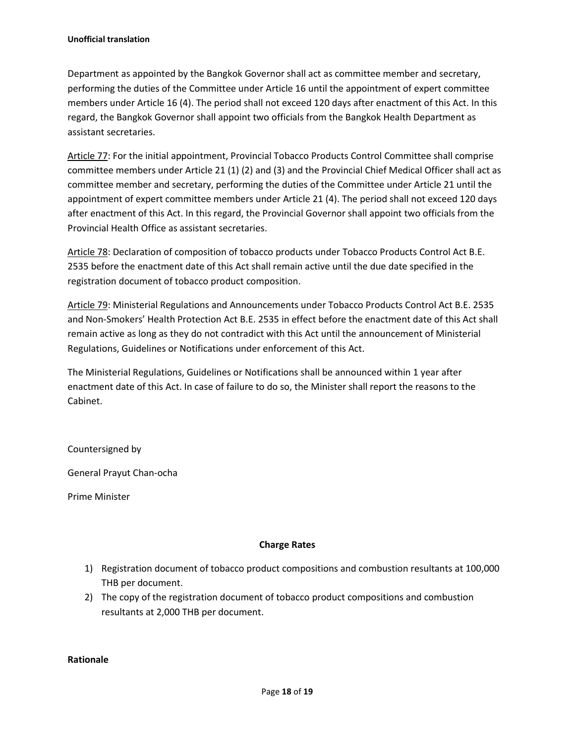Department as appointed by the Bangkok Governor shall act as committee member and secretary, performing the duties of the Committee under Article 16 until the appointment of expert committee members under Article 16 (4). The period shall not exceed 120 days after enactment of this Act. In this regard, the Bangkok Governor shall appoint two officials from the Bangkok Health Department as assistant secretaries.

Article 77: For the initial appointment, Provincial Tobacco Products Control Committee shall comprise committee members under Article 21 (1) (2) and (3) and the Provincial Chief Medical Officer shall act as committee member and secretary, performing the duties of the Committee under Article 21 until the appointment of expert committee members under Article 21 (4). The period shall not exceed 120 days after enactment of this Act. In this regard, the Provincial Governor shall appoint two officials from the Provincial Health Office as assistant secretaries.

Article 78: Declaration of composition of tobacco products under Tobacco Products Control Act B.E. 2535 before the enactment date of this Act shall remain active until the due date specified in the registration document of tobacco product composition.

Article 79: Ministerial Regulations and Announcements under Tobacco Products Control Act B.E. 2535 and Non-Smokers' Health Protection Act B.E. 2535 in effect before the enactment date of this Act shall remain active as long as they do not contradict with this Act until the announcement of Ministerial Regulations, Guidelines or Notifications under enforcement of this Act.

The Ministerial Regulations, Guidelines or Notifications shall be announced within 1 year after enactment date of this Act. In case of failure to do so, the Minister shall report the reasons to the Cabinet.

Countersigned by

General Prayut Chan-ocha

Prime Minister

## **Charge Rates**

- 1) Registration document of tobacco product compositions and combustion resultants at 100,000 THB per document.
- 2) The copy of the registration document of tobacco product compositions and combustion resultants at 2,000 THB per document.

**Rationale**